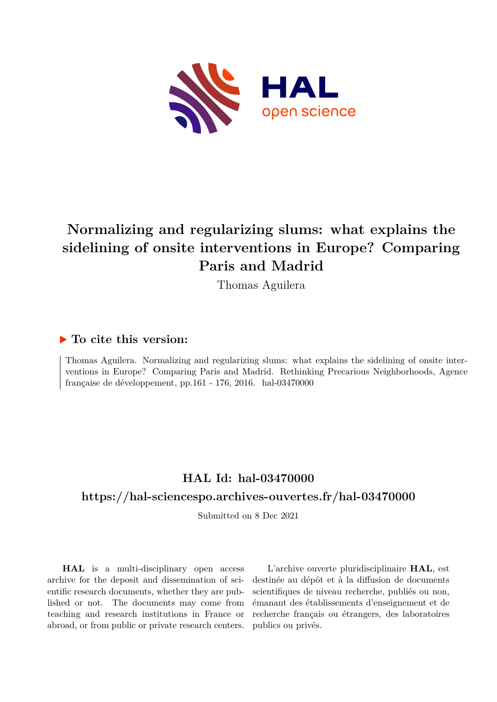

# **Normalizing and regularizing slums: what explains the sidelining of onsite interventions in Europe? Comparing Paris and Madrid**

Thomas Aguilera

# **To cite this version:**

Thomas Aguilera. Normalizing and regularizing slums: what explains the sidelining of onsite interventions in Europe? Comparing Paris and Madrid. Rethinking Precarious Neighborhoods, Agence française de développement, pp.161 - 176, 2016. hal-03470000

# **HAL Id: hal-03470000 <https://hal-sciencespo.archives-ouvertes.fr/hal-03470000>**

Submitted on 8 Dec 2021

**HAL** is a multi-disciplinary open access archive for the deposit and dissemination of scientific research documents, whether they are published or not. The documents may come from teaching and research institutions in France or abroad, or from public or private research centers.

L'archive ouverte pluridisciplinaire **HAL**, est destinée au dépôt et à la diffusion de documents scientifiques de niveau recherche, publiés ou non, émanant des établissements d'enseignement et de recherche français ou étrangers, des laboratoires publics ou privés.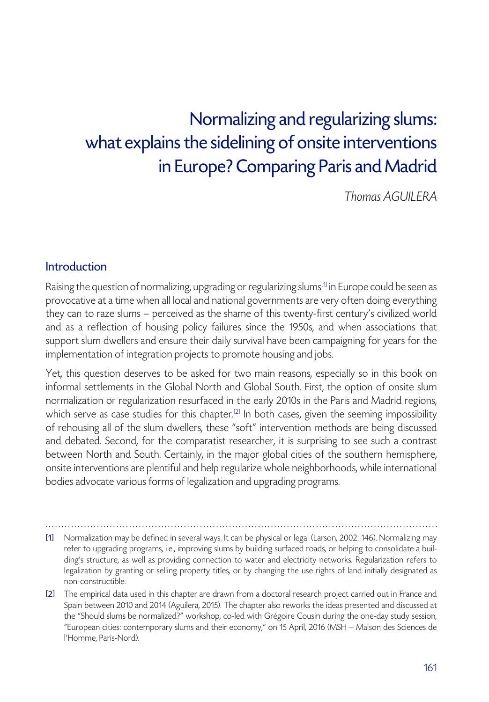# Normalizing and regularizing slums: what explains the sidelining of onsite interventions in Europe? Comparing Paris and Madrid

*Thomas AGUILERA*

### Introduction

Raising the question of normalizing, upgrading or regularizing slums<sup>[1]</sup> in Europe could be seen as provocative at a time when all local and national governments are very often doing everything they can to raze slums – perceived as the shame of this twenty-first century's civilized world and as a reflection of housing policy failures since the 1950s, and when associations that support slum dwellers and ensure their daily survival have been campaigning for years for the implementation of integration projects to promote housing and jobs.

Yet, this question deserves to be asked for two main reasons, especially so in this book on informal settlements in the Global North and Global South. First, the option of onsite slum normalization or regularization resurfaced in the early 2010s in the Paris and Madrid regions, which serve as case studies for this chapter.<sup>[2]</sup> In both cases, given the seeming impossibility of rehousing all of the slum dwellers, these "soft" intervention methods are being discussed and debated. Second, for the comparatist researcher, it is surprising to see such a contrast between North and South. Certainly, in the major global cities of the southern hemisphere, onsite interventions are plentiful and help regularize whole neighborhoods, while international bodies advocate various forms of legalization and upgrading programs.

[1] Normalization may be defined in several ways. It can be physical or legal (Larson, 2002: 146). Normalizing may refer to upgrading programs, i.e., improving slums by building surfaced roads, or helping to consolidate a building's structure, as well as providing connection to water and electricity networks. Regularization refers to legalization by granting or selling property titles, or by changing the use rights of land initially designated as non-constructible.

[2] The empirical data used in this chapter are drawn from a doctoral research project carried out in France and Spain between 2010 and 2014 (Aguilera, 2015). The chapter also reworks the ideas presented and discussed at the "Should slums be normalized?" workshop, co-led with Grégoire Cousin during the one-day study session, "European cities: contemporary slums and their economy," on 15 April, 2016 (MSH – Maison des Sciences de l'Homme, Paris-Nord).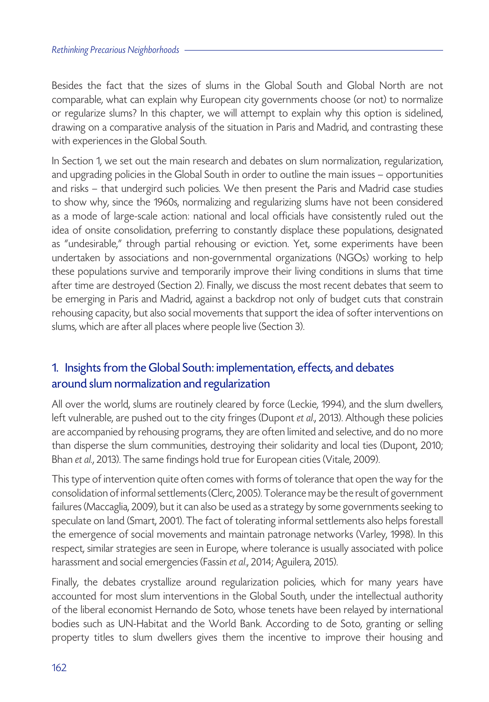Besides the fact that the sizes of slums in the Global South and Global North are not comparable, what can explain why European city governments choose (or not) to normalize or regularize slums? In this chapter, we will attempt to explain why this option is sidelined, drawing on a comparative analysis of the situation in Paris and Madrid, and contrasting these with experiences in the Global South.

In Section 1, we set out the main research and debates on slum normalization, regularization, and upgrading policies in the Global South in order to outline the main issues – opportunities and risks – that undergird such policies. We then present the Paris and Madrid case studies to show why, since the 1960s, normalizing and regularizing slums have not been considered as a mode of large-scale action: national and local officials have consistently ruled out the idea of onsite consolidation, preferring to constantly displace these populations, designated as "undesirable," through partial rehousing or eviction. Yet, some experiments have been undertaken by associations and non-governmental organizations (NGOs) working to help these populations survive and temporarily improve their living conditions in slums that time after time are destroyed (Section 2). Finally, we discuss the most recent debates that seem to be emerging in Paris and Madrid, against a backdrop not only of budget cuts that constrain rehousing capacity, but also social movements that support the idea of softer interventions on slums, which are after all places where people live (Section 3).

# 1. Insights from the Global South: implementation, effects, and debates around slum normalization and regularization

All over the world, slums are routinely cleared by force (Leckie, 1994), and the slum dwellers, left vulnerable, are pushed out to the city fringes (Dupont *et al*., 2013). Although these policies are accompanied by rehousing programs, they are often limited and selective, and do no more than disperse the slum communities, destroying their solidarity and local ties (Dupont, 2010; Bhan *et al.*, 2013). The same findings hold true for European cities (Vitale, 2009).

This type of intervention quite often comes with forms of tolerance that open the way for the consolidation of informal settlements (Clerc, 2005). Tolerance may be the result of government failures (Maccaglia, 2009), but it can also be used as a strategy by some governments seeking to speculate on land (Smart, 2001). The fact of tolerating informal settlements also helps forestall the emergence of social movements and maintain patronage networks (Varley, 1998). In this respect, similar strategies are seen in Europe, where tolerance is usually associated with police harassment and social emergencies (Fassin *et al*., 2014; Aguilera, 2015).

Finally, the debates crystallize around regularization policies, which for many years have accounted for most slum interventions in the Global South, under the intellectual authority of the liberal economist Hernando de Soto, whose tenets have been relayed by international bodies such as UN-Habitat and the World Bank. According to de Soto, granting or selling property titles to slum dwellers gives them the incentive to improve their housing and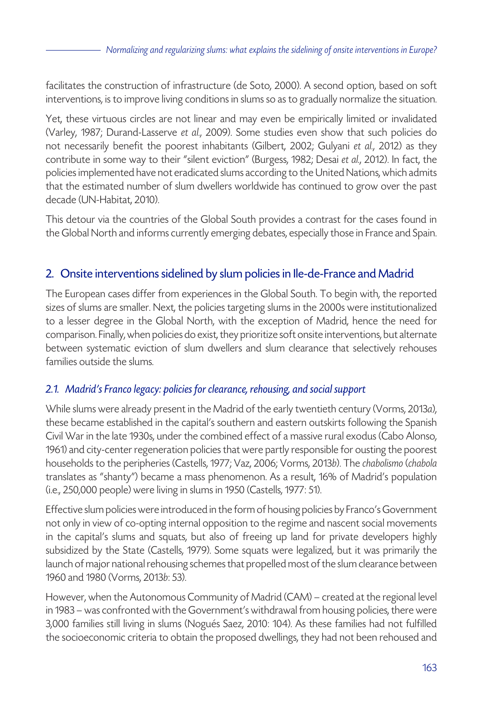facilitates the construction of infrastructure (de Soto, 2000). A second option, based on soft interventions, is to improve living conditions in slums so as to gradually normalize the situation.

Yet, these virtuous circles are not linear and may even be empirically limited or invalidated (Varley, 1987; Durand-Lasserve *et al.*, 2009). Some studies even show that such policies do not necessarily benefit the poorest inhabitants (Gilbert, 2002; Gulyani *et al.*, 2012) as they contribute in some way to their "silent eviction" (Burgess, 1982; Desai *et al.*, 2012). In fact, the policies implemented have not eradicated slums according to the United Nations, which admits that the estimated number of slum dwellers worldwide has continued to grow over the past decade (UN-Habitat, 2010).

This detour via the countries of the Global South provides a contrast for the cases found in the Global North and informs currently emerging debates, especially those in France and Spain.

## 2. Onsite interventions sidelined by slum policies in Ile-de-France and Madrid

The European cases differ from experiences in the Global South. To begin with, the reported sizes of slums are smaller. Next, the policies targeting slums in the 2000s were institutionalized to a lesser degree in the Global North, with the exception of Madrid, hence the need for comparison. Finally, when policies do exist, they prioritize soft onsite interventions, but alternate between systematic eviction of slum dwellers and slum clearance that selectively rehouses families outside the slums.

#### *2.1. Madrid's Franco legacy: policies for clearance, rehousing, and social support*

While slums were already present in the Madrid of the early twentieth century (Vorms, 2013*a*), these became established in the capital's southern and eastern outskirts following the Spanish Civil War in the late 1930s, under the combined effect of a massive rural exodus (Cabo Alonso, 1961) and city-center regeneration policies that were partly responsible for ousting the poorest households to the peripheries (Castells, 1977; Vaz, 2006; Vorms, 2013*b*). The *chabolismo* (*chabola* translates as "shanty") became a mass phenomenon. As a result, 16% of Madrid's population (i.e., 250,000 people) were living in slums in 1950 (Castells, 1977: 51).

Effective slum policies were introduced in the form of housing policies by Franco's Government not only in view of co-opting internal opposition to the regime and nascent social movements in the capital's slums and squats, but also of freeing up land for private developers highly subsidized by the State (Castells, 1979). Some squats were legalized, but it was primarily the launch of major national rehousing schemes that propelled most of the slum clearance between 1960 and 1980 (Vorms, 2013*b*: 53).

However, when the Autonomous Community of Madrid (CAM) – created at the regional level in 1983 – was confronted with the Government's withdrawal from housing policies, there were 3,000 families still living in slums (Nogués Saez, 2010: 104). As these families had not fulfilled the socioeconomic criteria to obtain the proposed dwellings, they had not been rehoused and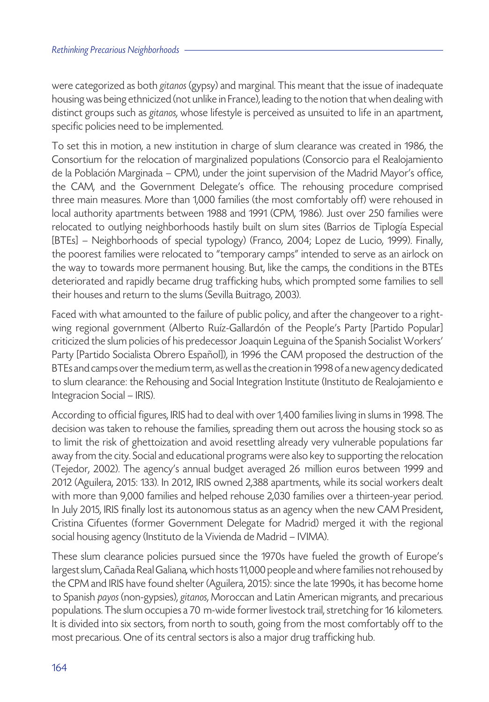were categorized as both *gitanos* (gypsy) and marginal. This meant that the issue of inadequate housing was being ethnicized (not unlike in France), leading to the notion that when dealing with distinct groups such as *gitanos*, whose lifestyle is perceived as unsuited to life in an apartment, specific policies need to be implemented.

To set this in motion, a new institution in charge of slum clearance was created in 1986, the Consortium for the relocation of marginalized populations (Consorcio para el Realojamiento de la Población Marginada – CPM), under the joint supervision of the Madrid Mayor's office, the CAM, and the Government Delegate's office. The rehousing procedure comprised three main measures. More than 1,000 families (the most comfortably off) were rehoused in local authority apartments between 1988 and 1991 (CPM, 1986). Just over 250 families were relocated to outlying neighborhoods hastily built on slum sites (Barrios de Tiplogía Especial [BTEs] – Neighborhoods of special typology) (Franco, 2004; Lopez de Lucio, 1999). Finally, the poorest families were relocated to "temporary camps" intended to serve as an airlock on the way to towards more permanent housing. But, like the camps, the conditions in the BTEs deteriorated and rapidly became drug trafficking hubs, which prompted some families to sell their houses and return to the slums (Sevilla Buitrago, 2003).

Faced with what amounted to the failure of public policy, and after the changeover to a rightwing regional government (Alberto Ruíz-Gallardón of the People's Party [Partido Popular] criticized the slum policies of his predecessor Joaquin Leguina of the Spanish Socialist Workers' Party [Partido Socialista Obrero Español]), in 1996 the CAM proposed the destruction of the BTEs and camps over the medium term, as well as the creation in 1998 of a new agency dedicated to slum clearance: the Rehousing and Social Integration Institute (Instituto de Realojamiento e Integracion Social – IRIS).

According to official figures, IRIS had to deal with over 1,400 families living in slums in 1998. The decision was taken to rehouse the families, spreading them out across the housing stock so as to limit the risk of ghettoization and avoid resettling already very vulnerable populations far away from the city. Social and educational programs were also key to supporting the relocation (Tejedor, 2002). The agency's annual budget averaged 26 million euros between 1999 and 2012 (Aguilera, 2015: 133). In 2012, IRIS owned 2,388 apartments, while its social workers dealt with more than 9,000 families and helped rehouse 2,030 families over a thirteen-year period. In July 2015, IRIS finally lost its autonomous status as an agency when the new CAM President, Cristina Cifuentes (former Government Delegate for Madrid) merged it with the regional social housing agency (Instituto de la Vivienda de Madrid – IVIMA).

These slum clearance policies pursued since the 1970s have fueled the growth of Europe's largest slum, Cañada Real Galiana*,* which hosts 11,000 people and where families not rehoused by the CPM and IRIS have found shelter (Aguilera, 2015): since the late 1990s, it has become home to Spanish *payos* (non-gypsies), *gitanos*, Moroccan and Latin American migrants, and precarious populations. The slum occupies a 70 m-wide former livestock trail, stretching for 16 kilometers*.*  It is divided into six sectors, from north to south, going from the most comfortably off to the most precarious. One of its central sectors is also a major drug trafficking hub.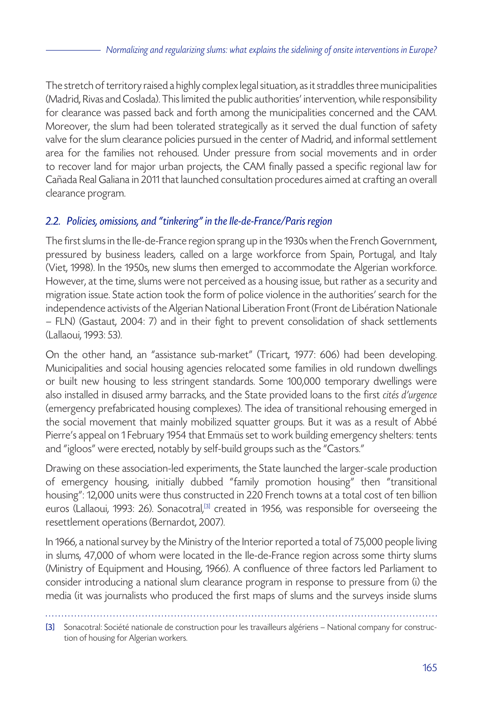The stretch of territory raised a highly complex legal situation, as it straddles three municipalities (Madrid, Rivas and Coslada). This limited the public authorities' intervention, while responsibility for clearance was passed back and forth among the municipalities concerned and the CAM. Moreover, the slum had been tolerated strategically as it served the dual function of safety valve for the slum clearance policies pursued in the center of Madrid, and informal settlement area for the families not rehoused. Under pressure from social movements and in order to recover land for major urban projects, the CAM finally passed a specific regional law for Cañada Real Galiana in 2011 that launched consultation procedures aimed at crafting an overall clearance program.

## *2.2. Policies, omissions, and "tinkering" in the Ile-de-France/Paris region*

The first slums in the Ile-de-France region sprang up in the 1930s when the French Government, pressured by business leaders, called on a large workforce from Spain, Portugal, and Italy (Viet, 1998). In the 1950s, new slums then emerged to accommodate the Algerian workforce. However, at the time, slums were not perceived as a housing issue, but rather as a security and migration issue. State action took the form of police violence in the authorities' search for the independence activists of the Algerian National Liberation Front (Front de Libération Nationale – FLN) (Gastaut, 2004: 7) and in their fight to prevent consolidation of shack settlements (Lallaoui, 1993: 53).

On the other hand, an "assistance sub-market" (Tricart, 1977: 606) had been developing. Municipalities and social housing agencies relocated some families in old rundown dwellings or built new housing to less stringent standards. Some 100,000 temporary dwellings were also installed in disused army barracks, and the State provided loans to the first *cités d'urgence* (emergency prefabricated housing complexes). The idea of transitional rehousing emerged in the social movement that mainly mobilized squatter groups. But it was as a result of Abbé Pierre's appeal on 1 February 1954 that Emmaüs set to work building emergency shelters: tents and "igloos" were erected, notably by self-build groups such as the "Castors."

Drawing on these association-led experiments, the State launched the larger-scale production of emergency housing, initially dubbed "family promotion housing" then "transitional housing": 12,000 units were thus constructed in 220 French towns at a total cost of ten billion euros (Lallaoui, 1993: 26). Sonacotral,<sup>[3]</sup> created in 1956, was responsible for overseeing the resettlement operations (Bernardot, 2007).

In 1966, a national survey by the Ministry of the Interior reported a total of 75,000 people living in slums, 47,000 of whom were located in the Ile-de-France region across some thirty slums (Ministry of Equipment and Housing, 1966). A confluence of three factors led Parliament to consider introducing a national slum clearance program in response to pressure from (i) the media (it was journalists who produced the first maps of slums and the surveys inside slums

<sup>[3]</sup> Sonacotral: Société nationale de construction pour les travailleurs algériens – National company for construction of housing for Algerian workers.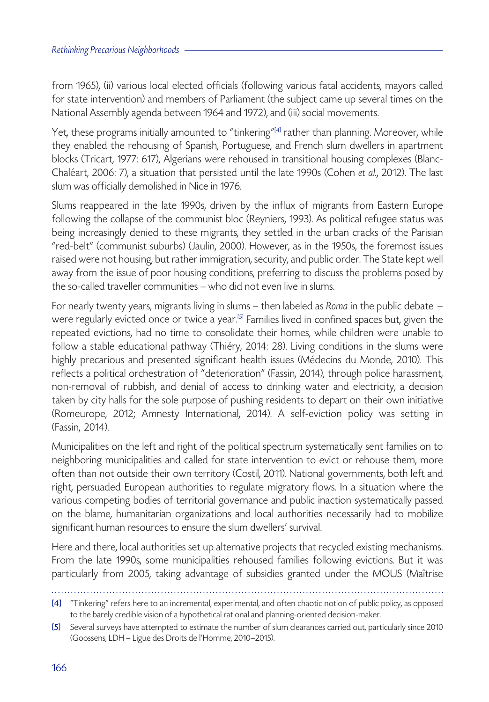from 1965), (ii) various local elected officials (following various fatal accidents, mayors called for state intervention) and members of Parliament (the subject came up several times on the National Assembly agenda between 1964 and 1972), and (iii) social movements.

Yet, these programs initially amounted to "tinkering" $[4]$  rather than planning. Moreover, while they enabled the rehousing of Spanish, Portuguese, and French slum dwellers in apartment blocks (Tricart, 1977: 617), Algerians were rehoused in transitional housing complexes (Blanc-Chaléart, 2006: 7), a situation that persisted until the late 1990s (Cohen *et al.*, 2012). The last slum was officially demolished in Nice in 1976.

Slums reappeared in the late 1990s, driven by the influx of migrants from Eastern Europe following the collapse of the communist bloc (Reyniers, 1993). As political refugee status was being increasingly denied to these migrants, they settled in the urban cracks of the Parisian "red-belt" (communist suburbs) (Jaulin, 2000). However, as in the 1950s, the foremost issues raised were not housing, but rather immigration, security, and public order. The State kept well away from the issue of poor housing conditions, preferring to discuss the problems posed by the so-called traveller communities – who did not even live in slums.

For nearly twenty years, migrants living in slums – then labeled as *Roma* in the public debate – were regularly evicted once or twice a year.<sup>[5]</sup> Families lived in confined spaces but, given the repeated evictions, had no time to consolidate their homes, while children were unable to follow a stable educational pathway (Thiéry, 2014: 28). Living conditions in the slums were highly precarious and presented significant health issues (Médecins du Monde, 2010). This reflects a political orchestration of "deterioration" (Fassin, 2014), through police harassment, non-removal of rubbish, and denial of access to drinking water and electricity, a decision taken by city halls for the sole purpose of pushing residents to depart on their own initiative (Romeurope, 2012; Amnesty International, 2014). A self-eviction policy was setting in (Fassin, 2014).

Municipalities on the left and right of the political spectrum systematically sent families on to neighboring municipalities and called for state intervention to evict or rehouse them, more often than not outside their own territory (Costil, 2011). National governments, both left and right, persuaded European authorities to regulate migratory flows. In a situation where the various competing bodies of territorial governance and public inaction systematically passed on the blame, humanitarian organizations and local authorities necessarily had to mobilize significant human resources to ensure the slum dwellers' survival.

Here and there, local authorities set up alternative projects that recycled existing mechanisms. From the late 1990s, some municipalities rehoused families following evictions. But it was particularly from 2005, taking advantage of subsidies granted under the MOUS (Maîtrise

<sup>[4]</sup> "Tinkering" refers here to an incremental, experimental, and often chaotic notion of public policy, as opposed to the barely credible vision of a hypothetical rational and planning-oriented decision-maker.

<sup>[5]</sup> Several surveys have attempted to estimate the number of slum clearances carried out, particularly since 2010 (Goossens, LDH – Ligue des Droits de l'Homme, 2010–2015).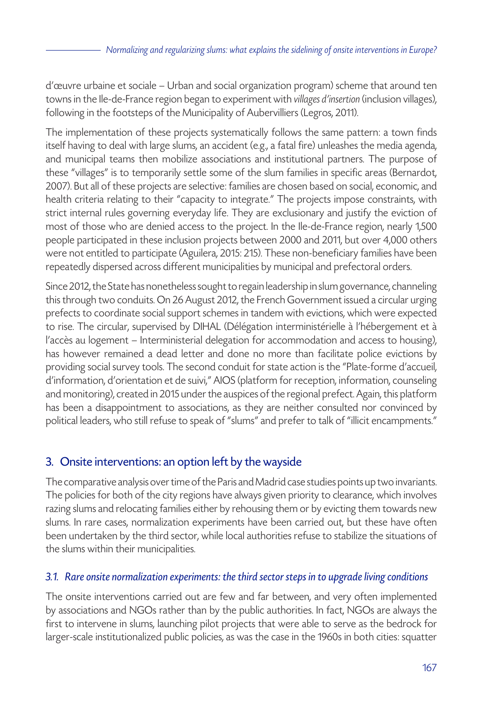d'œuvre urbaine et sociale – Urban and social organization program) scheme that around ten towns in the Ile-de-France region began to experiment with *villages d'insertion* (inclusion villages), following in the footsteps of the Municipality of Aubervilliers (Legros, 2011).

The implementation of these projects systematically follows the same pattern: a town finds itself having to deal with large slums, an accident (e.g., a fatal fire) unleashes the media agenda, and municipal teams then mobilize associations and institutional partners. The purpose of these "villages" is to temporarily settle some of the slum families in specific areas (Bernardot, 2007). But all of these projects are selective: families are chosen based on social, economic, and health criteria relating to their "capacity to integrate." The projects impose constraints, with strict internal rules governing everyday life. They are exclusionary and justify the eviction of most of those who are denied access to the project. In the Ile-de-France region, nearly 1,500 people participated in these inclusion projects between 2000 and 2011, but over 4,000 others were not entitled to participate (Aguilera, 2015: 215). These non-beneficiary families have been repeatedly dispersed across different municipalities by municipal and prefectoral orders.

Since 2012, the State has nonetheless sought to regain leadership in slum governance, channeling this through two conduits. On 26 August 2012, the French Government issued a circular urging prefects to coordinate social support schemes in tandem with evictions, which were expected to rise. The circular, supervised by DIHAL (Délégation interministérielle à l'hébergement et à l'accès au logement – Interministerial delegation for accommodation and access to housing), has however remained a dead letter and done no more than facilitate police evictions by providing social survey tools. The second conduit for state action is the "Plate-forme d'accueil, d'information, d'orientation et de suivi," AIOS (platform for reception, information, counseling and monitoring), created in 2015 under the auspices of the regional prefect. Again, this platform has been a disappointment to associations, as they are neither consulted nor convinced by political leaders, who still refuse to speak of "slums" and prefer to talk of "illicit encampments."

# 3. Onsite interventions: an option left by the wayside

The comparative analysis over time of the Paris and Madrid case studies points up two invariants. The policies for both of the city regions have always given priority to clearance, which involves razing slums and relocating families either by rehousing them or by evicting them towards new slums. In rare cases, normalization experiments have been carried out, but these have often been undertaken by the third sector, while local authorities refuse to stabilize the situations of the slums within their municipalities.

#### *3.1. Rare onsite normalization experiments: the third sector steps in to upgrade living conditions*

The onsite interventions carried out are few and far between, and very often implemented by associations and NGOs rather than by the public authorities. In fact, NGOs are always the first to intervene in slums, launching pilot projects that were able to serve as the bedrock for larger-scale institutionalized public policies, as was the case in the 1960s in both cities: squatter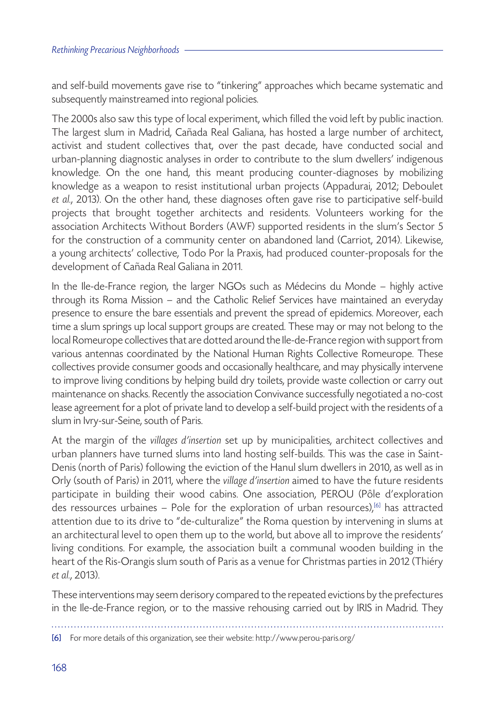and self-build movements gave rise to "tinkering" approaches which became systematic and subsequently mainstreamed into regional policies.

The 2000s also saw this type of local experiment, which filled the void left by public inaction. The largest slum in Madrid, Cañada Real Galiana, has hosted a large number of architect, activist and student collectives that, over the past decade, have conducted social and urban-planning diagnostic analyses in order to contribute to the slum dwellers' indigenous knowledge. On the one hand, this meant producing counter-diagnoses by mobilizing knowledge as a weapon to resist institutional urban projects (Appadurai, 2012; Deboulet *et al.*, 2013). On the other hand, these diagnoses often gave rise to participative self-build projects that brought together architects and residents. Volunteers working for the association Architects Without Borders (AWF) supported residents in the slum's Sector 5 for the construction of a community center on abandoned land (Carriot, 2014). Likewise, a young architects' collective, Todo Por la Praxis, had produced counter-proposals for the development of Cañada Real Galiana in 2011.

In the Ile-de-France region, the larger NGOs such as Médecins du Monde – highly active through its Roma Mission – and the Catholic Relief Services have maintained an everyday presence to ensure the bare essentials and prevent the spread of epidemics. Moreover, each time a slum springs up local support groups are created. These may or may not belong to the local Romeurope collectives that are dotted around the Ile-de-France region with support from various antennas coordinated by the National Human Rights Collective Romeurope. These collectives provide consumer goods and occasionally healthcare, and may physically intervene to improve living conditions by helping build dry toilets, provide waste collection or carry out maintenance on shacks. Recently the association Convivance successfully negotiated a no-cost lease agreement for a plot of private land to develop a self-build project with the residents of a slum in Ivry-sur-Seine, south of Paris.

At the margin of the *villages d'insertion* set up by municipalities, architect collectives and urban planners have turned slums into land hosting self-builds. This was the case in Saint-Denis (north of Paris) following the eviction of the Hanul slum dwellers in 2010, as well as in Orly (south of Paris) in 2011, where the *village d'insertion* aimed to have the future residents participate in building their wood cabins. One association, PEROU (Pôle d'exploration des ressources urbaines – Pole for the exploration of urban resources),<sup>[6]</sup> has attracted attention due to its drive to "de-culturalize" the Roma question by intervening in slums at an architectural level to open them up to the world, but above all to improve the residents' living conditions. For example, the association built a communal wooden building in the heart of the Ris-Orangis slum south of Paris as a venue for Christmas parties in 2012 (Thiéry *et al.*, 2013).

These interventions may seem derisory compared to the repeated evictions by the prefectures in the Ile-de-France region, or to the massive rehousing carried out by IRIS in Madrid. They

[6] For more details of this organization, see their website: http://www.perou-paris.org/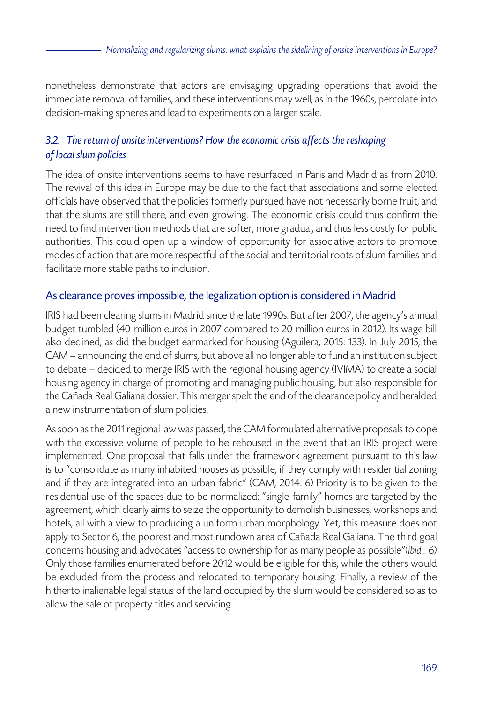nonetheless demonstrate that actors are envisaging upgrading operations that avoid the immediate removal of families, and these interventions may well, as in the 1960s, percolate into decision-making spheres and lead to experiments on a larger scale.

### *3.2. The return of onsite interventions? How the economic crisis affects the reshaping of local slum policies*

The idea of onsite interventions seems to have resurfaced in Paris and Madrid as from 2010. The revival of this idea in Europe may be due to the fact that associations and some elected officials have observed that the policies formerly pursued have not necessarily borne fruit, and that the slums are still there, and even growing. The economic crisis could thus confirm the need to find intervention methods that are softer, more gradual, and thus less costly for public authorities. This could open up a window of opportunity for associative actors to promote modes of action that are more respectful of the social and territorial roots of slum families and facilitate more stable paths to inclusion.

#### As clearance proves impossible, the legalization option is considered in Madrid

IRIS had been clearing slums in Madrid since the late 1990s. But after 2007, the agency's annual budget tumbled (40 million euros in 2007 compared to 20 million euros in 2012). Its wage bill also declined, as did the budget earmarked for housing (Aguilera, 2015: 133). In July 2015, the CAM – announcing the end of slums, but above all no longer able to fund an institution subject to debate – decided to merge IRIS with the regional housing agency (IVIMA) to create a social housing agency in charge of promoting and managing public housing, but also responsible for the Cañada Real Galiana dossier. This merger spelt the end of the clearance policy and heralded a new instrumentation of slum policies.

As soon as the 2011 regional law was passed, the CAM formulated alternative proposals to cope with the excessive volume of people to be rehoused in the event that an IRIS project were implemented. One proposal that falls under the framework agreement pursuant to this law is to "consolidate as many inhabited houses as possible, if they comply with residential zoning and if they are integrated into an urban fabric" (CAM, 2014: 6) Priority is to be given to the residential use of the spaces due to be normalized: "single-family" homes are targeted by the agreement, which clearly aims to seize the opportunity to demolish businesses, workshops and hotels, all with a view to producing a uniform urban morphology. Yet, this measure does not apply to Sector 6, the poorest and most rundown area of Cañada Real Galiana. The third goal concerns housing and advocates "access to ownership for as many people as possible"(*ibid*.: 6) Only those families enumerated before 2012 would be eligible for this, while the others would be excluded from the process and relocated to temporary housing. Finally, a review of the hitherto inalienable legal status of the land occupied by the slum would be considered so as to allow the sale of property titles and servicing.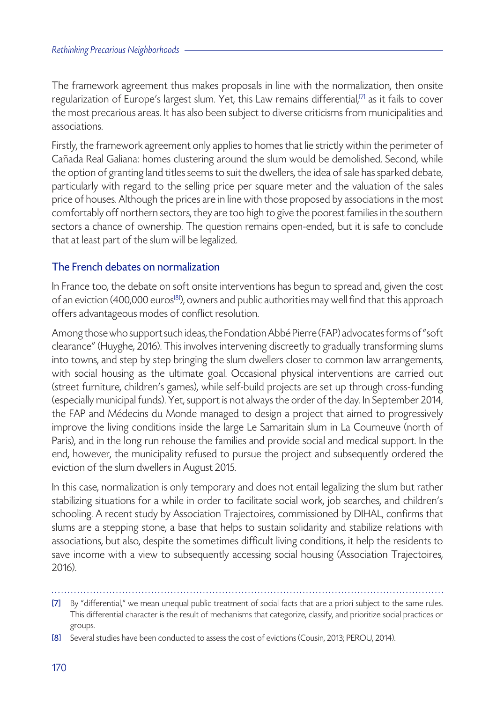The framework agreement thus makes proposals in line with the normalization, then onsite regularization of Europe's largest slum. Yet, this Law remains differential,[7] as it fails to cover the most precarious areas. It has also been subject to diverse criticisms from municipalities and associations.

Firstly, the framework agreement only applies to homes that lie strictly within the perimeter of Cañada Real Galiana: homes clustering around the slum would be demolished. Second, while the option of granting land titles seems to suit the dwellers, the idea of sale has sparked debate, particularly with regard to the selling price per square meter and the valuation of the sales price of houses. Although the prices are in line with those proposed by associations in the most comfortably off northern sectors, they are too high to give the poorest families in the southern sectors a chance of ownership. The question remains open-ended, but it is safe to conclude that at least part of the slum will be legalized.

#### The French debates on normalization

In France too, the debate on soft onsite interventions has begun to spread and, given the cost of an eviction (400,000 euros<sup>[8]</sup>), owners and public authorities may well find that this approach offers advantageous modes of conflict resolution.

Among those who support such ideas, the Fondation Abbé Pierre (FAP) advocates forms of "soft clearance" (Huyghe, 2016). This involves intervening discreetly to gradually transforming slums into towns, and step by step bringing the slum dwellers closer to common law arrangements, with social housing as the ultimate goal. Occasional physical interventions are carried out (street furniture, children's games), while self-build projects are set up through cross-funding (especially municipal funds). Yet, support is not always the order of the day. In September 2014, the FAP and Médecins du Monde managed to design a project that aimed to progressively improve the living conditions inside the large Le Samaritain slum in La Courneuve (north of Paris), and in the long run rehouse the families and provide social and medical support. In the end, however, the municipality refused to pursue the project and subsequently ordered the eviction of the slum dwellers in August 2015.

In this case, normalization is only temporary and does not entail legalizing the slum but rather stabilizing situations for a while in order to facilitate social work, job searches, and children's schooling. A recent study by Association Trajectoires, commissioned by DIHAL, confirms that slums are a stepping stone, a base that helps to sustain solidarity and stabilize relations with associations, but also, despite the sometimes difficult living conditions, it help the residents to save income with a view to subsequently accessing social housing (Association Trajectoires, 2016).

<sup>[7]</sup> By "differential," we mean unequal public treatment of social facts that are a priori subject to the same rules. This differential character is the result of mechanisms that categorize, classify, and prioritize social practices or groups.

<sup>[8]</sup> Several studies have been conducted to assess the cost of evictions (Cousin, 2013; PEROU, 2014).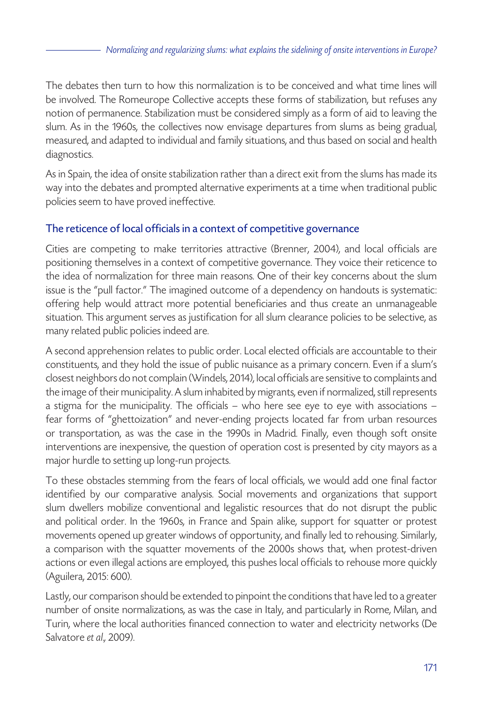The debates then turn to how this normalization is to be conceived and what time lines will be involved. The Romeurope Collective accepts these forms of stabilization, but refuses any notion of permanence. Stabilization must be considered simply as a form of aid to leaving the slum. As in the 1960s, the collectives now envisage departures from slums as being gradual, measured, and adapted to individual and family situations, and thus based on social and health diagnostics.

As in Spain, the idea of onsite stabilization rather than a direct exit from the slums has made its way into the debates and prompted alternative experiments at a time when traditional public policies seem to have proved ineffective.

### The reticence of local officials in a context of competitive governance

Cities are competing to make territories attractive (Brenner, 2004), and local officials are positioning themselves in a context of competitive governance. They voice their reticence to the idea of normalization for three main reasons. One of their key concerns about the slum issue is the "pull factor." The imagined outcome of a dependency on handouts is systematic: offering help would attract more potential beneficiaries and thus create an unmanageable situation. This argument serves as justification for all slum clearance policies to be selective, as many related public policies indeed are.

A second apprehension relates to public order. Local elected officials are accountable to their constituents, and they hold the issue of public nuisance as a primary concern. Even if a slum's closest neighbors do not complain (Windels, 2014), local officials are sensitive to complaints and the image of their municipality. A slum inhabited by migrants, even if normalized, still represents a stigma for the municipality. The officials – who here see eye to eye with associations – fear forms of "ghettoization" and never-ending projects located far from urban resources or transportation, as was the case in the 1990s in Madrid. Finally, even though soft onsite interventions are inexpensive, the question of operation cost is presented by city mayors as a major hurdle to setting up long-run projects.

To these obstacles stemming from the fears of local officials, we would add one final factor identified by our comparative analysis. Social movements and organizations that support slum dwellers mobilize conventional and legalistic resources that do not disrupt the public and political order. In the 1960s, in France and Spain alike, support for squatter or protest movements opened up greater windows of opportunity, and finally led to rehousing. Similarly, a comparison with the squatter movements of the 2000s shows that, when protest-driven actions or even illegal actions are employed, this pushes local officials to rehouse more quickly (Aguilera, 2015: 600).

Lastly, our comparison should be extended to pinpoint the conditions that have led to a greater number of onsite normalizations, as was the case in Italy, and particularly in Rome, Milan, and Turin, where the local authorities financed connection to water and electricity networks (De Salvatore *et al*.*,* 2009).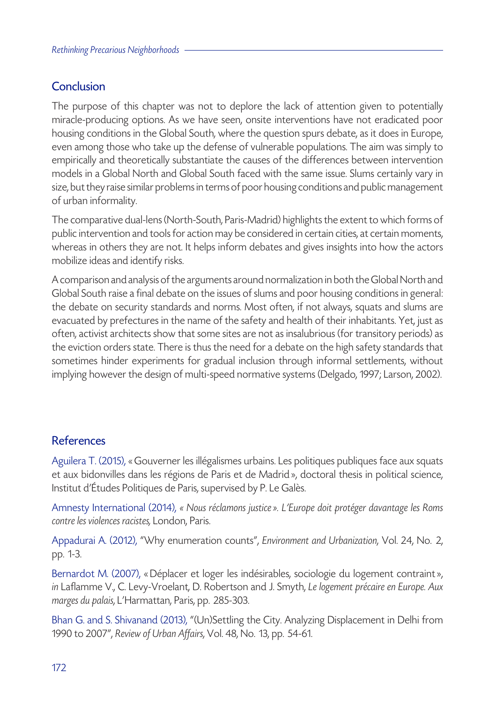# Conclusion

The purpose of this chapter was not to deplore the lack of attention given to potentially miracle-producing options. As we have seen, onsite interventions have not eradicated poor housing conditions in the Global South, where the question spurs debate, as it does in Europe, even among those who take up the defense of vulnerable populations. The aim was simply to empirically and theoretically substantiate the causes of the differences between intervention models in a Global North and Global South faced with the same issue. Slums certainly vary in size, but they raise similar problems in terms of poor housing conditions and public management of urban informality.

The comparative dual-lens (North-South, Paris-Madrid) highlights the extent to which forms of public intervention and tools for action may be considered in certain cities, at certain moments, whereas in others they are not. It helps inform debates and gives insights into how the actors mobilize ideas and identify risks.

A comparison and analysis of the arguments around normalization in both the Global North and Global South raise a final debate on the issues of slums and poor housing conditions in general: the debate on security standards and norms. Most often, if not always, squats and slums are evacuated by prefectures in the name of the safety and health of their inhabitants. Yet, just as often, activist architects show that some sites are not as insalubrious (for transitory periods) as the eviction orders state. There is thus the need for a debate on the high safety standards that sometimes hinder experiments for gradual inclusion through informal settlements, without implying however the design of multi-speed normative systems (Delgado, 1997; Larson, 2002).

# References

Aguilera T. (2015), « Gouverner les illégalismes urbains. Les politiques publiques face aux squats et aux bidonvilles dans les régions de Paris et de Madrid », doctoral thesis in political science, Institut d'Études Politiques de Paris, supervised by P. Le Galès.

Amnesty International (2014), *« Nous réclamons justice». L'Europe doit protéger davantage les Roms contre les violences racistes,* London, Paris.

Appadurai A. (2012), "Why enumeration counts", *Environment and Urbanization*, Vol. 24, No. 2, pp. 1-3.

Bernardot M. (2007), « Déplacer et loger les indésirables, sociologie du logement contraint», *in* Laflamme V., C. Levy-Vroelant, D. Robertson and J. Smyth, *Le logement précaire en Europe. Aux marges du palais*, L'Harmattan, Paris, pp. 285-303.

Bhan G. and S. Shivanand (2013), "(Un)Settling the City. Analyzing Displacement in Delhi from 1990 to 2007", *Review of Urban Affairs*, Vol. 48, No. 13, pp. 54-61.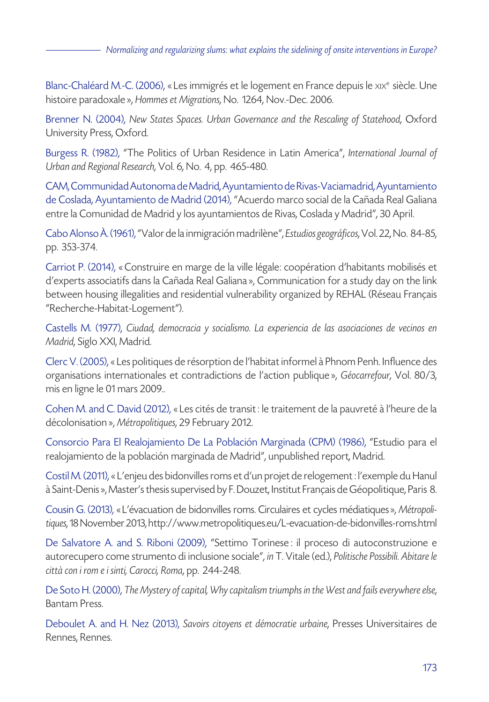Blanc-Chaléard M.-C. (2006), «Les immigrés et le logement en France depuis le xix<sup>e</sup> siècle. Une histoire paradoxale », *Hommes et Migrations*, No. 1264, Nov.-Dec. 2006.

Brenner N. (2004), *New States Spaces. Urban Governance and the Rescaling of Statehood*, Oxford University Press, Oxford.

Burgess R. (1982), "The Politics of Urban Residence in Latin America", *International Journal of Urban and Regional Research*, Vol. 6, No. 4, pp. 465-480.

CAM, Communidad Autonoma de Madrid, Ayuntamiento de Rivas-Vaciamadrid, Ayuntamiento de Coslada, Ayuntamiento de Madrid (2014), "Acuerdo marco social de la Cañada Real Galiana entre la Comunidad de Madrid y los ayuntamientos de Rivas, Coslada y Madrid", 30 April.

Cabo Alonso À. (1961), "Valor de la inmigración madrilène", *Estudios geográficos*, Vol. 22, No. 84-85, pp. 353-374.

Carriot P. (2014), « Construire en marge de la ville légale: coopération d'habitants mobilisés et d'experts associatifs dans la Cañada Real Galiana», Communication for a study day on the link between housing illegalities and residential vulnerability organized by REHAL (Réseau Français "Recherche-Habitat-Logement").

Castells M. (1977), *Ciudad, democracia y socialismo. La experiencia de las asociaciones de vecinos en Madrid*, Siglo XXI, Madrid.

Clerc V. (2005), « Les politiques de résorption de l'habitat informel à Phnom Penh. Influence des organisations internationales et contradictions de l'action publique », *Géocarrefour*, Vol. 80/3, mis en ligne le 01 mars 2009..

Cohen M. and C. David (2012), « Les cités de transit : le traitement de la pauvreté à l'heure de la décolonisation », *Métropolitiques*, 29 February 2012.

Consorcio Para El Realojamiento De La Población Marginada (CPM) (1986), "Estudio para el realojamiento de la población marginada de Madrid", unpublished report, Madrid.

Costil M. (2011), « L'enjeu des bidonvilles roms et d'un projet de relogement : l'exemple du Hanul à Saint-Denis», Master's thesis supervised by F. Douzet, Institut Français de Géopolitique, Paris 8.

Cousin G. (2013), « L'évacuation de bidonvilles roms. Circulaires et cycles médiatiques», *Métropolitiques*, 18 November 2013, http://www.metropolitiques.eu/L-evacuation-de-bidonvilles-roms.html

De Salvatore A. and S. Riboni (2009), "Settimo Torinese : il proceso di autoconstruzione e autorecupero come strumento di inclusione sociale", *in* T. Vitale (ed.), *Politische Possibili. Abitare le città con i rom e i sinti, Carocci, Roma*, pp. 244-248.

De Soto H. (2000), *The Mystery of capital, Why capitalism triumphs in the West and fails everywhere else*, Bantam Press.

Deboulet A. and H. Nez (2013), *Savoirs citoyens et démocratie urbaine*, Presses Universitaires de Rennes, Rennes.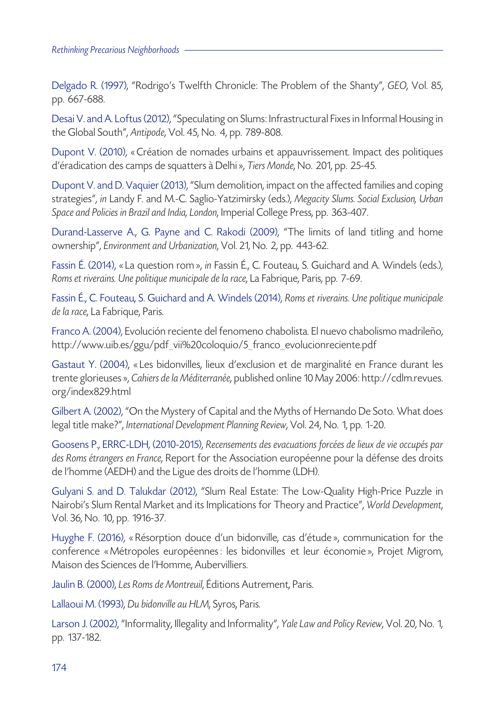Delgado R. (1997), "Rodrigo's Twelfth Chronicle: The Problem of the Shanty", *GEO*, Vol. 85, pp. 667-688.

Desai V. and A. Loftus (2012), "Speculating on Slums: Infrastructural Fixes in Informal Housing in the Global South", *Antipode*, Vol. 45, No. 4, pp. 789-808.

Dupont V. (2010), « Création de nomades urbains et appauvrissement. Impact des politiques d'éradication des camps de squatters à Delhi», *Tiers Monde*, No. 201, pp. 25-45.

Dupont V. and D. Vaquier (2013), "Slum demolition, impact on the affected families and coping strategies", *in* Landy F. and M.-C. Saglio-Yatzimirsky (eds.), *Megacity Slums. Social Exclusion, Urban Space and Policies in Brazil and India, London*, Imperial College Press, pp. 363-407.

Durand-Lasserve A., G. Payne and C. Rakodi (2009), "The limits of land titling and home ownership", *Environment and Urbanization*, Vol. 21, No. 2, pp. 443-62.

Fassin É. (2014), « La question rom », *in* Fassin É., C. Fouteau, S. Guichard and A. Windels (eds.), *Roms et riverains. Une politique municipale de la race*, La Fabrique, Paris, pp. 7-69.

Fassin É., C. Fouteau, S. Guichard and A. Windels (2014), *Roms et riverains. Une politique municipale de la race*, La Fabrique, Paris.

Franco A. (2004), Evolución reciente del fenomeno chabolista. El nuevo chabolismo madrileño, http://www.uib.es/ggu/pdf\_vii%20coloquio/5\_franco\_evolucionreciente.pdf

Gastaut Y. (2004), « Les bidonvilles, lieux d'exclusion et de marginalité en France durant les trente glorieuses», *Cahiers de la Méditerranée*, published online 10 May 2006: http://cdlm.revues. org/index829.html

Gilbert A. (2002), "On the Mystery of Capital and the Myths of Hernando De Soto. What does legal title make?", *International Development Planning Review*, Vol. 24, No. 1, pp. 1-20.

Goosens P., ERRC-LDH, (2010-2015), *Recensements des evacuations forcées de lieux de vie occupés par des Roms étrangers en France*, Report for the Association européenne pour la défense des droits de l'homme (AEDH) and the Ligue des droits de l'homme (LDH).

Gulyani S. and D. Talukdar (2012), "Slum Real Estate: The Low-Quality High-Price Puzzle in Nairobi's Slum Rental Market and its Implications for Theory and Practice", *World Development*, Vol. 36, No. 10, pp. 1916-37.

Huyghe F. (2016), « Résorption douce d'un bidonville, cas d'étude », communication for the conference « Métropoles européennes : les bidonvilles et leur économie », Projet Migrom, Maison des Sciences de l'Homme, Aubervilliers.

Jaulin B. (2000), *Les Roms de Montreuil*, Éditions Autrement, Paris.

Lallaoui M. (1993), *Du bidonville au HLM*, Syros, Paris.

Larson J. (2002), "Informality, Illegality and Informality", *Yale Law and Policy Review*, Vol. 20, No. 1, pp. 137-182.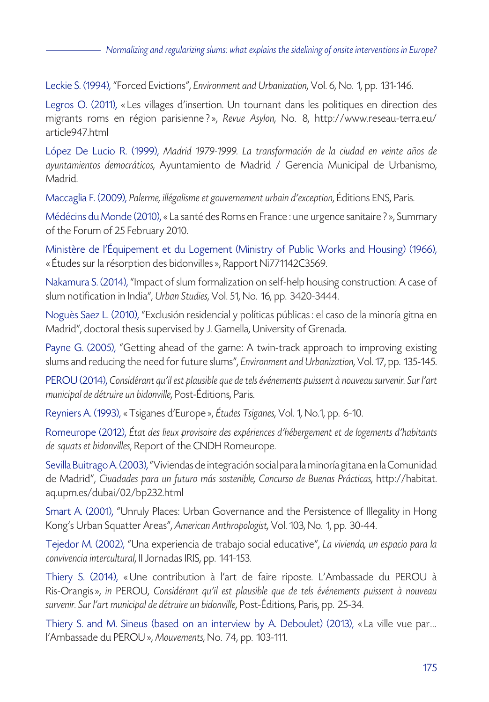Leckie S. (1994), "Forced Evictions", *Environment and Urbanization*, Vol. 6, No. 1, pp. 131-146.

Legros O. (2011), « Les villages d'insertion. Un tournant dans les politiques en direction des migrants roms en région parisienne ?», *Revue Asylon*, No. 8, http://www.reseau-terra.eu/ article947.html

López De Lucio R. (1999), *Madrid 1979-1999. La transformación de la ciudad en veinte años de ayuntamientos democráticos*, Ayuntamiento de Madrid / Gerencia Municipal de Urbanismo, Madrid.

Maccaglia F. (2009), *Palerme, illégalisme et gouvernement urbain d'exception*, Éditions ENS, Paris.

Médécins du Monde (2010), « La santé des Roms en France : une urgence sanitaire ?», Summary of the Forum of 25 February 2010.

Ministère de l'Équipement et du Logement (Ministry of Public Works and Housing) (1966), « Études sur la résorption des bidonvilles », Rapport Ni771142C3569.

Nakamura S. (2014), "Impact of slum formalization on self-help housing construction: A case of slum notification in India", *Urban Studies*, Vol. 51, No. 16, pp. 3420-3444.

Noguès Saez L. (2010), "Exclusión residencial y políticas públicas : el caso de la minoría gitna en Madrid", doctoral thesis supervised by J. Gamella, University of Grenada.

Payne G. (2005), "Getting ahead of the game: A twin-track approach to improving existing slums and reducing the need for future slums", *Environment and Urbanization*, Vol. 17, pp. 135-145.

PEROU (2014), *Considérant qu'il est plausible que de tels événements puissent à nouveau survenir. Sur l'art municipal de détruire un bidonville*, Post-Éditions, Paris.

Reyniers A. (1993), « Tsiganes d'Europe », *Études Tsiganes*, Vol. 1, No.1, pp. 6-10.

Romeurope (2012), *État des lieux provisoire des expériences d'hébergement et de logements d'habitants de squats et bidonvilles*, Report of the CNDH Romeurope.

Sevilla Buitrago A. (2003), "Viviendas de integración social para la minoría gitana en la Comunidad de Madrid", *Ciuadades para un futuro más sostenible, Concurso de Buenas Prácticas*, http://habitat. aq.upm.es/dubai/02/bp232.html

Smart A. (2001), "Unruly Places: Urban Governance and the Persistence of Illegality in Hong Kong's Urban Squatter Areas", *American Anthropologist*, Vol. 103, No. 1, pp. 30-44.

Tejedor M. (2002), "Una experiencia de trabajo social educative", *La vivienda, un espacio para la convivencia intercultural*, II Jornadas IRIS, pp. 141-153.

Thiery S. (2014), « Une contribution à l'art de faire riposte. L'Ambassade du PEROU à Ris-Orangis», *in* PEROU, *Considérant qu'il est plausible que de tels événements puissent à nouveau survenir. Sur l'art municipal de détruire un bidonville*, Post-Éditions, Paris, pp. 25-34.

Thiery S. and M. Sineus (based on an interview by A. Deboulet) (2013), « La ville vue par… l'Ambassade du PEROU », *Mouvements*, No. 74, pp. 103-111.